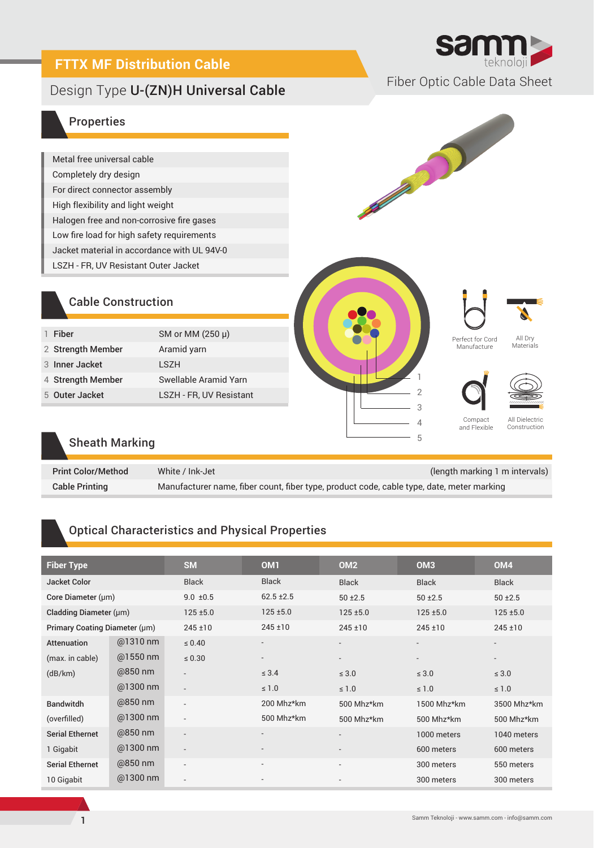# **FTTX MF Distribution Cable**

# Fiber Optic Cable Data Sheet Design Type U-(ZN)H Universal Cable



B

#### Properties

| Metal free universal cable                  |
|---------------------------------------------|
| Completely dry design                       |
| For direct connector assembly               |
| High flexibility and light weight           |
| Halogen free and non-corrosive fire gases   |
| Low fire load for high safety requirements  |
| Jacket material in accordance with UL 94V-0 |
| LSZH - FR, UV Resistant Outer Jacket        |

## Cable Construction

| SM or MM (250 µ)<br>Fiber<br>2 Strength Member<br>Aramid yarn<br>3 Inner Jacket<br>I S7H<br>Swellable Aramid Yarn<br>4 Strength Member<br>LSZH - FR, UV Resistant<br>5 Outer Jacket |  |  |
|-------------------------------------------------------------------------------------------------------------------------------------------------------------------------------------|--|--|
|                                                                                                                                                                                     |  |  |
|                                                                                                                                                                                     |  |  |
|                                                                                                                                                                                     |  |  |
|                                                                                                                                                                                     |  |  |
|                                                                                                                                                                                     |  |  |
|                                                                                                                                                                                     |  |  |







Perfect for Cord Manufacture

All Dry **Materials** 

Compact and Flexible



All Dielectric Construction

#### Sheath Marking

| <b>Print Color/Method</b> | White / Ink-Jet                                                                           | (length marking 1 m intervals) |
|---------------------------|-------------------------------------------------------------------------------------------|--------------------------------|
| <b>Cable Printing</b>     | Manufacturer name, fiber count, fiber type, product code, cable type, date, meter marking |                                |

# Optical Characteristics and Physical Properties

| <b>Fiber Type</b>             |            | <b>SM</b>                | OM <sub>1</sub>          | OM <sub>2</sub>          | OM <sub>3</sub>          | OM <sub>4</sub>          |
|-------------------------------|------------|--------------------------|--------------------------|--------------------------|--------------------------|--------------------------|
| <b>Jacket Color</b>           |            | <b>Black</b>             | <b>Black</b>             | <b>Black</b>             | <b>Black</b>             | <b>Black</b>             |
| Core Diameter $(\mu m)$       |            | $9.0 \pm 0.5$            | $62.5 \pm 2.5$           | $50 + 2.5$               | $50 + 2.5$               | $50 + 2.5$               |
| Cladding Diameter (µm)        |            | $125 + 5.0$              | $125 \pm 5.0$            | $125 + 5.0$              | $125 + 5.0$              | $125 + 5.0$              |
| Primary Coating Diameter (µm) |            | $245 \pm 10$             | $245 \pm 10$             | $245 \pm 10$             | $245 \pm 10$             | $245 \pm 10$             |
| Attenuation                   | $@1310$ nm | $\leq 0.40$              | $\overline{\phantom{a}}$ | $\overline{\phantom{0}}$ | $\overline{\phantom{0}}$ | $\overline{\phantom{a}}$ |
| (max. in cable)               | @1550 nm   | $\leq 0.30$              | $\overline{\phantom{a}}$ | $\overline{\phantom{a}}$ | $\overline{\phantom{0}}$ | $\overline{\phantom{a}}$ |
| (dB/km)                       | @850 nm    | $\overline{\phantom{a}}$ | $\leq 3.4$               | $\leq 3.0$               | $\leq 3.0$               | $\leq 3.0$               |
|                               | @1300 nm   | $\overline{\phantom{a}}$ | $\leq 1.0$               | $\leq 1.0$               | $\leq 1.0$               | $\leq 1.0$               |
| <b>Bandwitdh</b>              | @850 nm    | $\overline{\phantom{a}}$ | 200 Mhz*km               | 500 Mhz*km               | 1500 Mhz*km              | 3500 Mhz*km              |
| (overfilled)                  | $@1300$ nm | $\overline{\phantom{a}}$ | 500 Mhz*km               | 500 Mhz*km               | 500 Mhz*km               | 500 Mhz*km               |
| <b>Serial Ethernet</b>        | @850 nm    | $\overline{\phantom{a}}$ | $\overline{\phantom{a}}$ | $\overline{a}$           | 1000 meters              | 1040 meters              |
| 1 Gigabit                     | @1300 nm   | $\overline{\phantom{a}}$ |                          | $\overline{\phantom{a}}$ | 600 meters               | 600 meters               |
| <b>Serial Ethernet</b>        | @850 nm    | $\overline{\phantom{a}}$ | $\overline{\phantom{a}}$ | $\overline{\phantom{a}}$ | 300 meters               | 550 meters               |
| 10 Gigabit                    | @1300 nm   |                          |                          |                          | 300 meters               | 300 meters               |